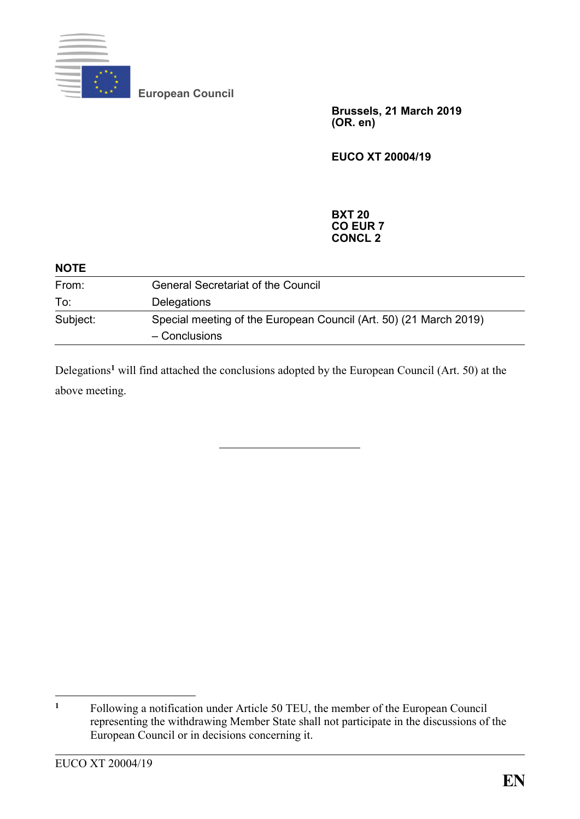

**European Council**

**Brussels, 21 March 2019 (OR. en)**

**EUCO XT 20004/19**

## **BXT 20 CO EUR 7 CONCL 2**

| <b>NOTE</b> |                                                                                    |
|-------------|------------------------------------------------------------------------------------|
| From:       | <b>General Secretariat of the Council</b>                                          |
| To:         | <b>Delegations</b>                                                                 |
| Subject:    | Special meeting of the European Council (Art. 50) (21 March 2019)<br>- Conclusions |

Delegations**<sup>1</sup>** will find attached the conclusions adopted by the European Council (Art. 50) at the above meeting.

 $\mathbf{1}$ **<sup>1</sup>** Following a notification under Article 50 TEU, the member of the European Council representing the withdrawing Member State shall not participate in the discussions of the European Council or in decisions concerning it.